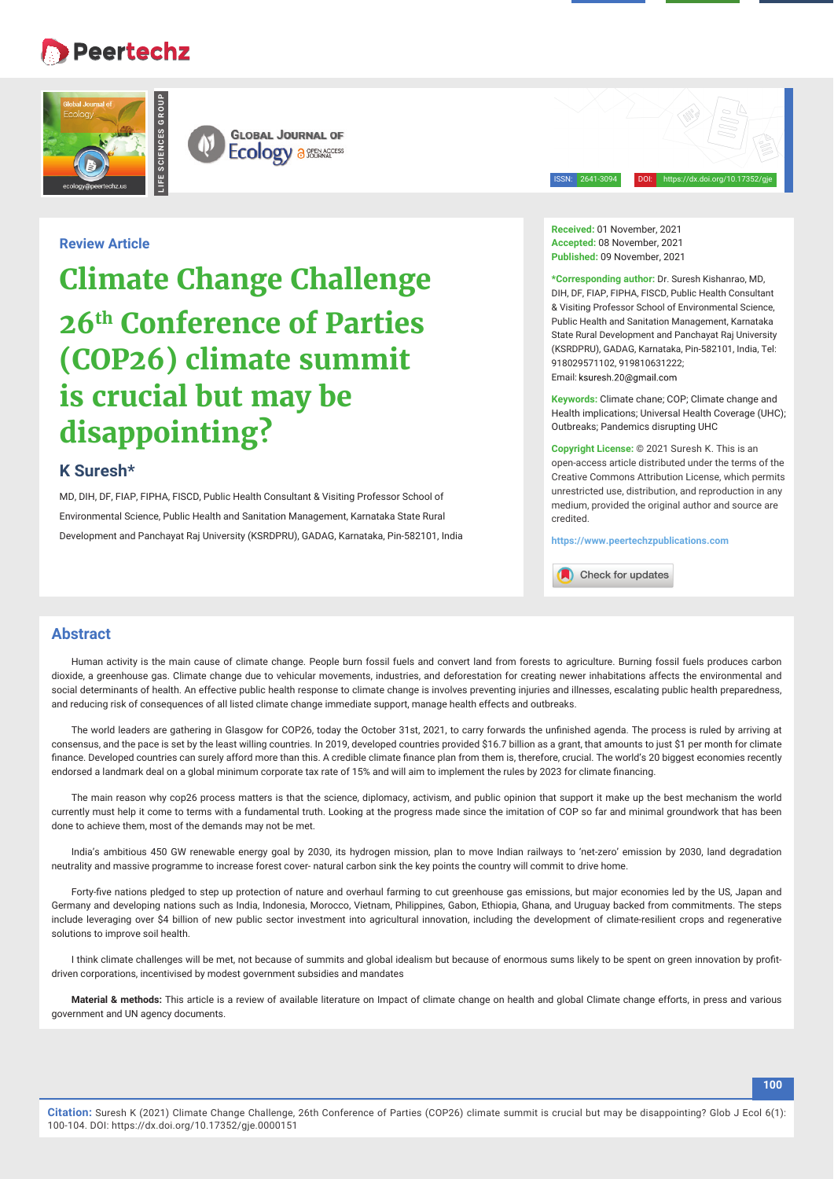# **Peertechz**

**LIFE SCIENCES GROUP**





ISSN: 2641-3094 DOI: https://dx.doi.org/10.17352/gje

## **Review Article**

**Climate Change Challenge 26th Conference of Parties (COP26) climate summit is crucial but may be disappointing?**

## **K Suresh\***

MD, DIH, DF, FIAP, FIPHA, FISCD, Public Health Consultant & Visiting Professor School of Environmental Science, Public Health and Sanitation Management, Karnataka State Rural Development and Panchayat Raj University (KSRDPRU), GADAG, Karnataka, Pin-582101, India **Received:** 01 November, 2021 **Accepted:** 08 November, 2021 **Published:** 09 November, 2021

**\*Corresponding author:** Dr. Suresh Kishanrao, MD, DIH, DF, FIAP, FIPHA, FISCD, Public Health Consultant & Visiting Professor School of Environmental Science, Public Health and Sanitation Management, Karnataka State Rural Development and Panchayat Raj University (KSRDPRU), GADAG, Karnataka, Pin-582101, India, Tel: 918029571102, 919810631222; Email: ksuresh.20@gmail.com

**Keywords:** Climate chane; COP; Climate change and Health implications; Universal Health Coverage (UHC); Outbreaks; Pandemics disrupting UHC

**Copyright License:** © 2021 Suresh K. This is an open-access article distributed under the terms of the Creative Commons Attribution License, which permits unrestricted use, distribution, and reproduction in any medium, provided the original author and source are credited.

**https://www.peertechzpublications.com**

Check for updates

## **Abstract**

Human activity is the main cause of climate change. People burn fossil fuels and convert land from forests to agriculture. Burning fossil fuels produces carbon dioxide, a greenhouse gas. Climate change due to vehicular movements, industries, and deforestation for creating newer inhabitations affects the environmental and social determinants of health. An effective public health response to climate change is involves preventing injuries and illnesses, escalating public health preparedness, and reducing risk of consequences of all listed climate change immediate support, manage health effects and outbreaks.

The world leaders are gathering in Glasgow for COP26, today the October 31st, 2021, to carry forwards the unfinished agenda. The process is ruled by arriving at consensus, and the pace is set by the least willing countries. In 2019, developed countries provided \$16.7 billion as a grant, that amounts to just \$1 per month for climate finance. Developed countries can surely afford more than this. A credible climate finance plan from them is, therefore, crucial. The world's 20 biggest economies recently endorsed a landmark deal on a global minimum corporate tax rate of 15% and will aim to implement the rules by 2023 for climate financing.

The main reason why cop26 process matters is that the science, diplomacy, activism, and public opinion that support it make up the best mechanism the world currently must help it come to terms with a fundamental truth. Looking at the progress made since the imitation of COP so far and minimal groundwork that has been done to achieve them, most of the demands may not be met.

India's ambitious 450 GW renewable energy goal by 2030, its hydrogen mission, plan to move Indian railways to 'net-zero' emission by 2030, land degradation neutrality and massive programme to increase forest cover- natural carbon sink the key points the country will commit to drive home.

Forty-five nations pledged to step up protection of nature and overhaul farming to cut greenhouse gas emissions, but major economies led by the US, Japan and Germany and developing nations such as India, Indonesia, Morocco, Vietnam, Philippines, Gabon, Ethiopia, Ghana, and Uruguay backed from commitments. The steps include leveraging over \$4 billion of new public sector investment into agricultural innovation, including the development of climate-resilient crops and regenerative solutions to improve soil health.

I think climate challenges will be met, not because of summits and global idealism but because of enormous sums likely to be spent on green innovation by profitdriven corporations, incentivised by modest government subsidies and mandates

**Material & methods:** This article is a review of available literature on Impact of climate change on health and global Climate change efforts, in press and various government and UN agency documents.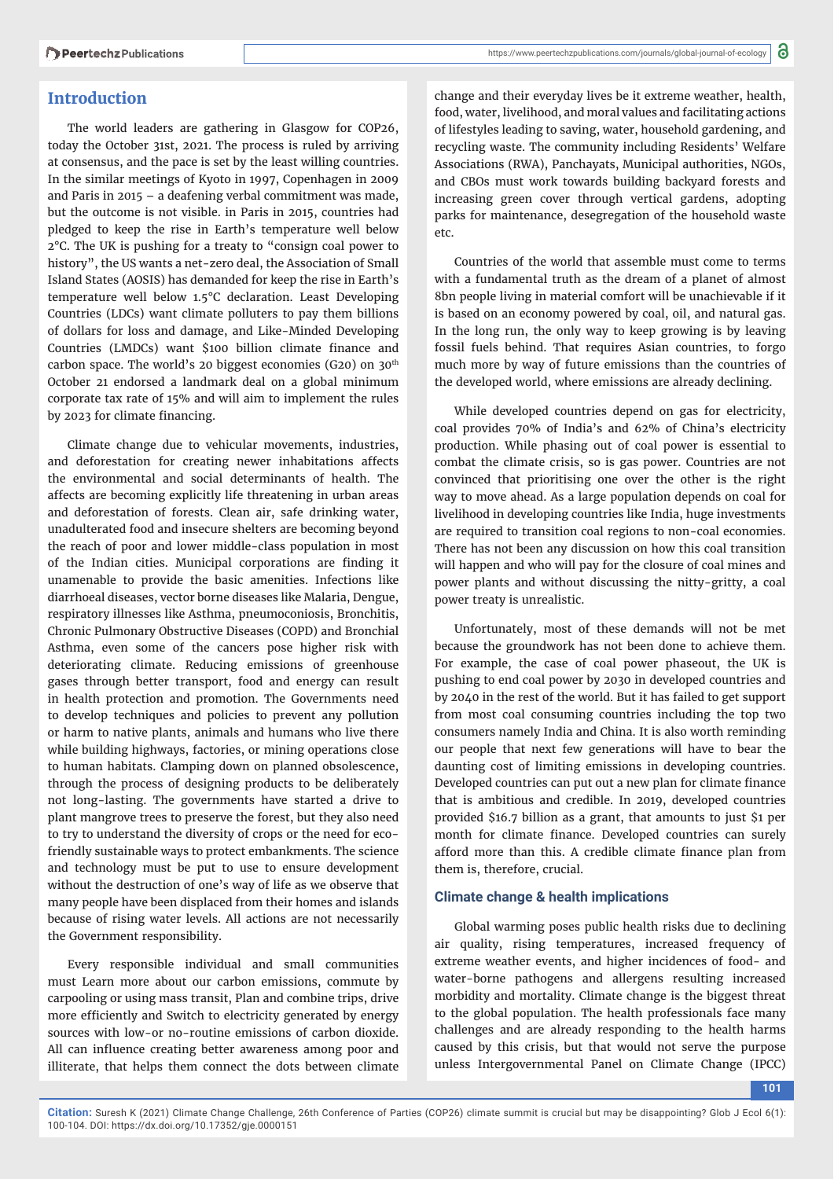# **Introduction**

The world leaders are gathering in Glasgow for COP26, today the October 31st, 2021. The process is ruled by arriving at consensus, and the pace is set by the least willing countries. In the similar meetings of Kyoto in 1997, Copenhagen in 2009 and Paris in 2015 – a deafening verbal commitment was made, but the outcome is not visible. in Paris in 2015, countries had pledged to keep the rise in Earth's temperature well below 2°C. The UK is pushing for a treaty to "consign coal power to history", the US wants a net-zero deal, the Association of Small Island States (AOSIS) has demanded for keep the rise in Earth's temperature well below 1.5°C declaration. Least Developing Countries (LDCs) want climate polluters to pay them billions of dollars for loss and damage, and Like-Minded Developing Countries (LMDCs) want \$100 billion climate finance and carbon space. The world's 20 biggest economies (G20) on  $30<sup>th</sup>$ October 21 endorsed a landmark deal on a global minimum corporate tax rate of 15% and will aim to implement the rules by 2023 for climate financing.

Climate change due to vehicular movements, industries, and deforestation for creating newer inhabitations affects the environmental and social determinants of health. The affects are becoming explicitly life threatening in urban areas and deforestation of forests. Clean air, safe drinking water, unadulterated food and insecure shelters are becoming beyond the reach of poor and lower middle-class population in most of the Indian cities. Municipal corporations are finding it unamenable to provide the basic amenities. Infections like diarrhoeal diseases, vector borne diseases like Malaria, Dengue, respiratory illnesses like Asthma, pneumoconiosis, Bronchitis, Chronic Pulmonary Obstructive Diseases (COPD) and Bronchial Asthma, even some of the cancers pose higher risk with deteriorating climate. Reducing emissions of greenhouse gases through better transport, food and energy can result in health protection and promotion. The Governments need to develop techniques and policies to prevent any pollution or harm to native plants, animals and humans who live there while building highways, factories, or mining operations close to human habitats. Clamping down on planned obsolescence, through the process of designing products to be deliberately not long-lasting. The governments have started a drive to plant mangrove trees to preserve the forest, but they also need to try to understand the diversity of crops or the need for ecofriendly sustainable ways to protect embankments. The science and technology must be put to use to ensure development without the destruction of one's way of life as we observe that many people have been displaced from their homes and islands because of rising water levels. All actions are not necessarily the Government responsibility.

Every responsible individual and small communities must Learn more about our carbon emissions, commute by carpooling or using mass transit, Plan and combine trips, drive more efficiently and Switch to electricity generated by energy sources with low-or no-routine emissions of carbon dioxide. All can influence creating better awareness among poor and illiterate, that helps them connect the dots between climate

change and their everyday lives be it extreme weather, health, food, water, livelihood, and moral values and facilitating actions of lifestyles leading to saving, water, household gardening, and recycling waste. The community including Residents' Welfare Associations (RWA), Panchayats, Municipal authorities, NGOs, and CBOs must work towards building backyard forests and increasing green cover through vertical gardens, adopting parks for maintenance, desegregation of the household waste etc.

Countries of the world that assemble must come to terms with a fundamental truth as the dream of a planet of almost 8bn people living in material comfort will be unachievable if it is based on an economy powered by coal, oil, and natural gas. In the long run, the only way to keep growing is by leaving fossil fuels behind. That requires Asian countries, to forgo much more by way of future emissions than the countries of the developed world, where emissions are already declining.

While developed countries depend on gas for electricity, coal provides 70% of India's and 62% of China's electricity production. While phasing out of coal power is essential to combat the climate crisis, so is gas power. Countries are not convinced that prioritising one over the other is the right way to move ahead. As a large population depends on coal for livelihood in developing countries like India, huge investments are required to transition coal regions to non-coal economies. There has not been any discussion on how this coal transition will happen and who will pay for the closure of coal mines and power plants and without discussing the nitty-gritty, a coal power treaty is unrealistic.

Unfortunately, most of these demands will not be met because the groundwork has not been done to achieve them. For example, the case of coal power phaseout, the UK is pushing to end coal power by 2030 in developed countries and by 2040 in the rest of the world. But it has failed to get support from most coal consuming countries including the top two consumers namely India and China. It is also worth reminding our people that next few generations will have to bear the daunting cost of limiting emissions in developing countries. Developed countries can put out a new plan for climate finance that is ambitious and credible. In 2019, developed countries provided \$16.7 billion as a grant, that amounts to just \$1 per month for climate finance. Developed countries can surely afford more than this. A credible climate finance plan from them is, therefore, crucial.

## **Climate change & health implications**

Global warming poses public health risks due to declining air quality, rising temperatures, increased frequency of extreme weather events, and higher incidences of food- and water-borne pathogens and allergens resulting increased morbidity and mortality. Climate change is the biggest threat to the global population. The health professionals face many challenges and are already responding to the health harms caused by this crisis, but that would not serve the purpose unless Intergovernmental Panel on Climate Change (IPCC)

**101**

**Citation:** Suresh K (2021) Climate Change Challenge, 26th Conference of Parties (COP26) climate summit is crucial but may be disappointing? Glob J Ecol 6(1): 100-104. DOI: https://dx.doi.org/10.17352/gje.0000151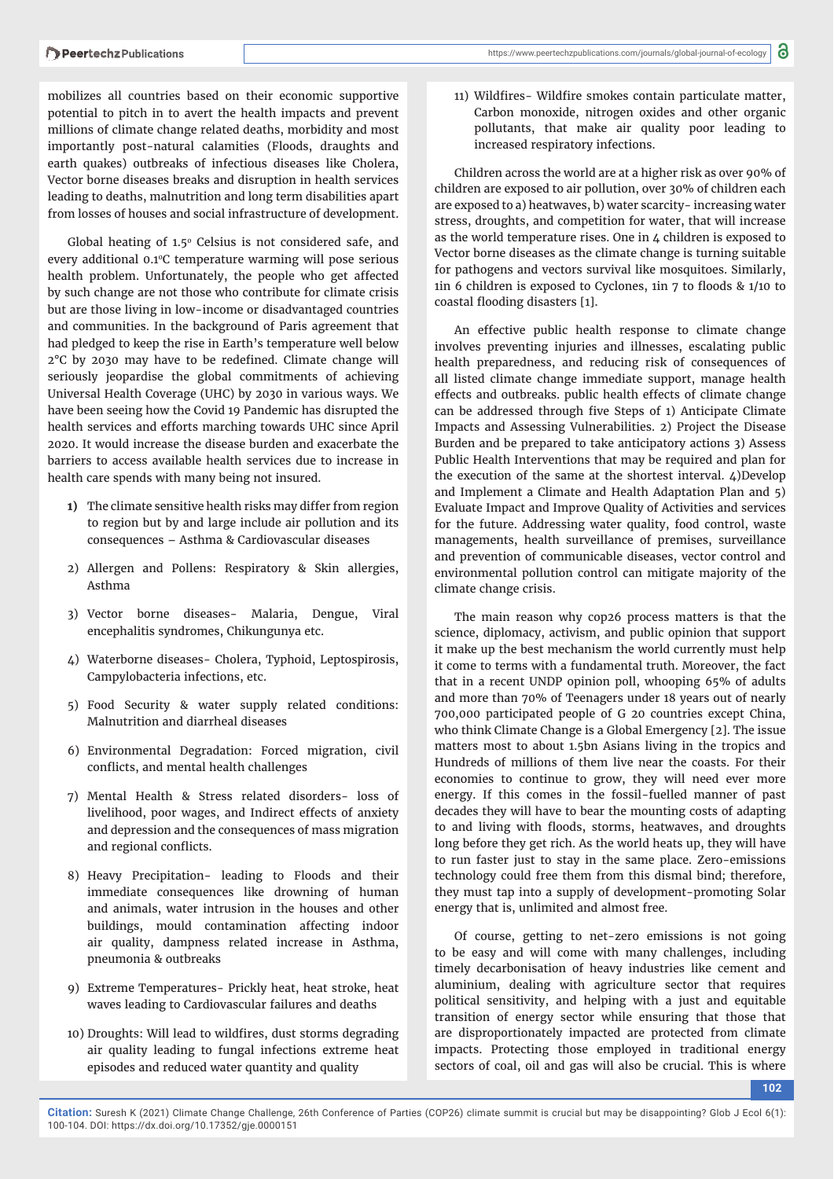mobilizes all countries based on their economic supportive potential to pitch in to avert the health impacts and prevent millions of climate change related deaths, morbidity and most importantly post-natural calamities (Floods, draughts and earth quakes) outbreaks of infectious diseases like Cholera, Vector borne diseases breaks and disruption in health services leading to deaths, malnutrition and long term disabilities apart from losses of houses and social infrastructure of development.

Global heating of  $1.5^\circ$  Celsius is not considered safe, and every additional 0.1°C temperature warming will pose serious health problem. Unfortunately, the people who get affected by such change are not those who contribute for climate crisis but are those living in low-income or disadvantaged countries and communities. In the background of Paris agreement that had pledged to keep the rise in Earth's temperature well below  $2^{\circ}$ C by 2030 may have to be redefined. Climate change will seriously jeopardise the global commitments of achieving Universal Health Coverage (UHC) by 2030 in various ways. We have been seeing how the Covid 19 Pandemic has disrupted the health services and efforts marching towards UHC since April 2020. It would increase the disease burden and exacerbate the barriers to access available health services due to increase in health care spends with many being not insured.

- **1)** The climate sensitive health risks may differ from region to region but by and large include air pollution and its consequences – Asthma & Cardiovascular diseases
- 2) Allergen and Pollens: Respiratory & Skin allergies, Asthma
- 3) Vector borne diseases- Malaria, Dengue, Viral encephalitis syndromes, Chikungunya etc.
- 4) Waterborne diseases- Cholera, Typhoid, Leptospirosis, Campylobacteria infections, etc.
- 5) Food Security & water supply related conditions: Malnutrition and diarrheal diseases
- 6) Environmental Degradation: Forced migration, civil conflicts, and mental health challenges
- 7) Mental Health & Stress related disorders- loss of livelihood, poor wages, and Indirect effects of anxiety and depression and the consequences of mass migration and regional conflicts.
- 8) Heavy Precipitation- leading to Floods and their immediate consequences like drowning of human and animals, water intrusion in the houses and other buildings, mould contamination affecting indoor air quality, dampness related increase in Asthma, pneumonia & outbreaks
- 9) Extreme Temperatures- Prickly heat, heat stroke, heat waves leading to Cardiovascular failures and deaths
- 10) Droughts: Will lead to wildfires, dust storms degrading air quality leading to fungal infections extreme heat episodes and reduced water quantity and quality

11) Wildfires- Wildfire smokes contain particulate matter, Carbon monoxide, nitrogen oxides and other organic pollutants, that make air quality poor leading to increased respiratory infections.

Children across the world are at a higher risk as over 90% of children are exposed to air pollution, over 30% of children each are exposed to a) heatwaves, b) water scarcity- increasing water stress, droughts, and competition for water, that will increase as the world temperature rises. One in 4 children is exposed to Vector borne diseases as the climate change is turning suitable for pathogens and vectors survival like mosquitoes. Similarly,  $1$ in 6 children is exposed to Cyclones, 1in 7 to floods &  $1/10$  to coastal flooding disasters [1].

An effective public health response to climate change involves preventing injuries and illnesses, escalating public health preparedness, and reducing risk of consequences of all listed climate change immediate support, manage health effects and outbreaks. public health effects of climate change can be addressed through five Steps of 1) Anticipate Climate Impacts and Assessing Vulnerabilities. 2) Project the Disease Burden and be prepared to take anticipatory actions 3) Assess Public Health Interventions that may be required and plan for the execution of the same at the shortest interval. 4)Develop and Implement a Climate and Health Adaptation Plan and 5) Evaluate Impact and Improve Quality of Activities and services for the future. Addressing water quality, food control, waste managements, health surveillance of premises, surveillance and prevention of communicable diseases, vector control and environmental pollution control can mitigate majority of the climate change crisis.

The main reason why cop26 process matters is that the science, diplomacy, activism, and public opinion that support it make up the best mechanism the world currently must help it come to terms with a fundamental truth. Moreover, the fact that in a recent UNDP opinion poll, whooping 65% of adults and more than 70% of Teenagers under 18 years out of nearly 700,000 participated people of G 20 countries except China, who think Climate Change is a Global Emergency [2]. The issue matters most to about 1.5bn Asians living in the tropics and Hundreds of millions of them live near the coasts. For their economies to continue to grow, they will need ever more energy. If this comes in the fossil-fuelled manner of past decades they will have to bear the mounting costs of adapting to and living with floods, storms, heatwaves, and droughts long before they get rich. As the world heats up, they will have to run faster just to stay in the same place. Zero-emissions technology could free them from this dismal bind; therefore, they must tap into a supply of development-promoting Solar energy that is, unlimited and almost free.

Of course, getting to net-zero emissions is not going to be easy and will come with many challenges, including timely decarbonisation of heavy industries like cement and aluminium, dealing with agriculture sector that requires political sensitivity, and helping with a just and equitable transition of energy sector while ensuring that those that are disproportionately impacted are protected from climate impacts. Protecting those employed in traditional energy sectors of coal, oil and gas will also be crucial. This is where

**102**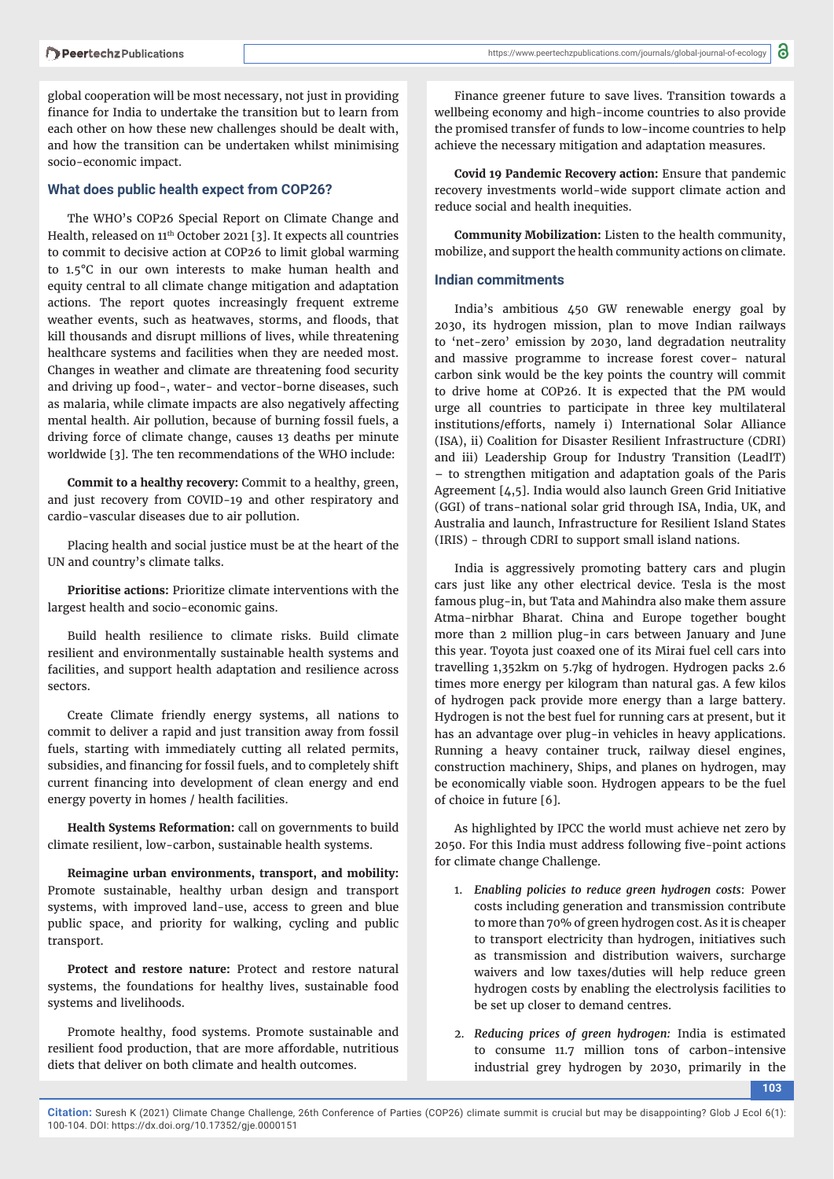global cooperation will be most necessary, not just in providing finance for India to undertake the transition but to learn from each other on how these new challenges should be dealt with, and how the transition can be undertaken whilst minimising socio-economic impact.

## **What does public health expect from COP26?**

The WHO's COP26 Special Report on Climate Change and Health, released on 11th October 2021 [3]. It expects all countries to commit to decisive action at COP26 to limit global warming to 1.5°C in our own interests to make human health and equity central to all climate change mitigation and adaptation actions. The report quotes increasingly frequent extreme weather events, such as heatwaves, storms, and floods, that kill thousands and disrupt millions of lives, while threatening healthcare systems and facilities when they are needed most. Changes in weather and climate are threatening food security and driving up food-, water- and vector-borne diseases, such as malaria, while climate impacts are also negatively affecting mental health. Air pollution, because of burning fossil fuels, a driving force of climate change, causes 13 deaths per minute worldwide [3]. The ten recommendations of the WHO include:

**Commit to a healthy recovery:** Commit to a healthy, green, and just recovery from COVID-19 and other respiratory and cardio-vascular diseases due to air pollution.

Placing health and social justice must be at the heart of the UN and country's climate talks.

**Prioritise actions:** Prioritize climate interventions with the largest health and socio-economic gains.

Build health resilience to climate risks. Build climate resilient and environmentally sustainable health systems and facilities, and support health adaptation and resilience across sectors.

Create Climate friendly energy systems, all nations to commit to deliver a rapid and just transition away from fossil fuels, starting with immediately cutting all related permits, subsidies, and financing for fossil fuels, and to completely shift current financing into development of clean energy and end energy poverty in homes / health facilities.

**Health Systems Reformation:** call on governments to build climate resilient, low-carbon, sustainable health systems.

**Reimagine urban environments, transport, and mobility:** Promote sustainable, healthy urban design and transport systems, with improved land-use, access to green and blue public space, and priority for walking, cycling and public transport.

**Protect and restore nature:** Protect and restore natural systems, the foundations for healthy lives, sustainable food systems and livelihoods.

Promote healthy, food systems. Promote sustainable and resilient food production, that are more affordable, nutritious diets that deliver on both climate and health outcomes.

Finance greener future to save lives. Transition towards a wellbeing economy and high-income countries to also provide the promised transfer of funds to low-income countries to help achieve the necessary mitigation and adaptation measures.

**Covid 19 Pandemic Recovery action:** Ensure that pandemic recovery investments world-wide support climate action and reduce social and health inequities.

**Community Mobilization:** Listen to the health community, mobilize, and support the health community actions on climate.

## **Indian commitments**

India's ambitious 450 GW renewable energy goal by 2030, its hydrogen mission, plan to move Indian railways to 'net-zero' emission by 2030, land degradation neutrality and massive programme to increase forest cover- natural carbon sink would be the key points the country will commit to drive home at COP26. It is expected that the PM would urge all countries to participate in three key multilateral institutions/efforts, namely i) International Solar Alliance (ISA), ii) Coalition for Disaster Resilient Infrastructure (CDRI) and iii) Leadership Group for Industry Transition (LeadIT) – to strengthen mitigation and adaptation goals of the Paris Agreement [4,5]. India would also launch Green Grid Initiative (GGI) of trans-national solar grid through ISA, India, UK, and Australia and launch, Infrastructure for Resilient Island States (IRIS) - through CDRI to support small island nations.

India is aggressively promoting battery cars and plugin cars just like any other electrical device. Tesla is the most famous plug-in, but Tata and Mahindra also make them assure Atma-nirbhar Bharat. China and Europe together bought more than 2 million plug-in cars between January and June this year. Toyota just coaxed one of its Mirai fuel cell cars into travelling 1,352km on 5.7kg of hydrogen. Hydrogen packs 2.6 times more energy per kilogram than natural gas. A few kilos of hydrogen pack provide more energy than a large battery. Hydrogen is not the best fuel for running cars at present, but it has an advantage over plug-in vehicles in heavy applications. Running a heavy container truck, railway diesel engines, construction machinery, Ships, and planes on hydrogen, may be economically viable soon. Hydrogen appears to be the fuel of choice in future [6].

As highlighted by IPCC the world must achieve net zero by 2050. For this India must address following five-point actions for climate change Challenge.

- 1. *Enabling policies to reduce green hydrogen costs*: Power costs including generation and transmission contribute to more than 70% of green hydrogen cost. As it is cheaper to transport electricity than hydrogen, initiatives such as transmission and distribution waivers, surcharge waivers and low taxes/duties will help reduce green hydrogen costs by enabling the electrolysis facilities to be set up closer to demand centres.
- 2. *Reducing prices of green hydrogen:* India is estimated to consume 11.7 million tons of carbon-intensive industrial grey hydrogen by 2030, primarily in the

**103**

**Citation:** Suresh K (2021) Climate Change Challenge, 26th Conference of Parties (COP26) climate summit is crucial but may be disappointing? Glob J Ecol 6(1): 100-104. DOI: https://dx.doi.org/10.17352/gje.0000151